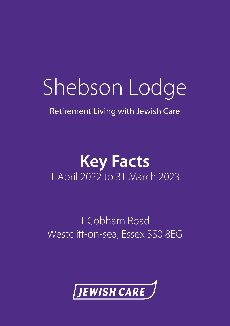# Shebson Lodge

Retirement Living with Jewish Care

### **Key Facts** 1 April 2022 to 31 March 2023

1 Cobham Road Westcliff-on-sea, Essex SS0 8EG

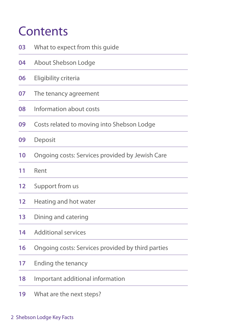### **Contents**

| 03 | What to expect from this guide                    |
|----|---------------------------------------------------|
| 04 | About Shebson Lodge                               |
| 06 | Eligibility criteria                              |
| 07 | The tenancy agreement                             |
| 08 | Information about costs                           |
| 09 | Costs related to moving into Shebson Lodge        |
| 09 | Deposit                                           |
| 10 | Ongoing costs: Services provided by Jewish Care   |
| 11 | Rent                                              |
| 12 | Support from us                                   |
| 12 | Heating and hot water                             |
| 13 | Dining and catering                               |
| 14 | <b>Additional services</b>                        |
| 16 | Ongoing costs: Services provided by third parties |
| 17 | Ending the tenancy                                |
| 18 | Important additional information                  |
| 19 | What are the next steps?                          |

#### 2 Shebson Lodge Key Facts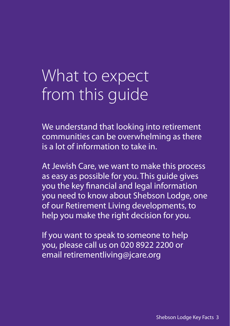## What to expect from this guide

We understand that looking into retirement communities can be overwhelming as there is a lot of information to take in.

At Jewish Care, we want to make this process as easy as possible for you. This guide gives you the key financial and legal information you need to know about Shebson Lodge, one of our Retirement Living developments, to help you make the right decision for you.

If you want to speak to someone to help you, please call us on 020 8922 2200 or email retirementliving@jcare.org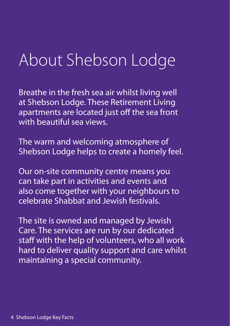## About Shebson Lodge

Breathe in the fresh sea air whilst living well at Shebson Lodge. These Retirement Living apartments are located just off the sea front with beautiful sea views.

The warm and welcoming atmosphere of Shebson Lodge helps to create a homely feel.

Our on-site community centre means you can take part in activities and events and also come together with your neighbours to celebrate Shabbat and Jewish festivals.

The site is owned and managed by Jewish Care. The services are run by our dedicated staff with the help of volunteers, who all work hard to deliver quality support and care whilst maintaining a special community.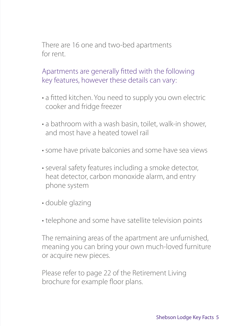There are 16 one and two-bed apartments for rent.

Apartments are generally fitted with the following key features, however these details can vary:

- a fitted kitchen. You need to supply you own electric cooker and fridge freezer
- a bathroom with a wash basin, toilet, walk-in shower, and most have a heated towel rail
- some have private balconies and some have sea views
- several safety features including a smoke detector, heat detector, carbon monoxide alarm, and entry phone system
- double glazing
- telephone and some have satellite television points

The remaining areas of the apartment are unfurnished, meaning you can bring your own much-loved furniture or acquire new pieces.

Please refer to page 22 of the Retirement Living brochure for example floor plans.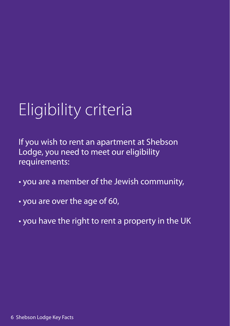## Eligibility criteria

If you wish to rent an apartment at Shebson Lodge, you need to meet our eligibility requirements:

- you are a member of the Jewish community,
- you are over the age of 60,
- you have the right to rent a property in the UK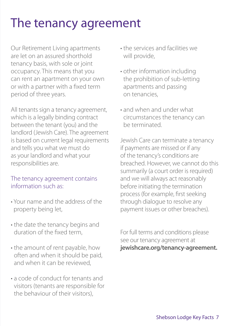### The tenancy agreement

Our Retirement Living apartments are let on an assured shorthold tenancy basis, with sole or joint occupancy. This means that you can rent an apartment on your own or with a partner with a fixed term period of three years.

All tenants sign a tenancy agreement, which is a legally binding contract between the tenant (you) and the landlord (Jewish Care). The agreement is based on current legal requirements and tells you what we must do as your landlord and what your responsibilities are.

#### The tenancy agreement contains information such as:

- Your name and the address of the property being let,
- the date the tenancy begins and duration of the fixed term,
- the amount of rent payable, how often and when it should be paid, and when it can be reviewed,
- a code of conduct for tenants and visitors (tenants are responsible for the behaviour of their visitors),
- the services and facilities we will provide,
- other information including the prohibition of sub-letting apartments and passing on tenancies,
- and when and under what circumstances the tenancy can be terminated.

Jewish Care can terminate a tenancy if payments are missed or if any of the tenancy's conditions are breached. However, we cannot do this summarily (a court order is required) and we will always act reasonably before initiating the termination process (for example, first seeking through dialogue to resolve any payment issues or other breaches).

For full terms and conditions please see our tenancy agreement at **jewishcare.org/tenancy-agreement.**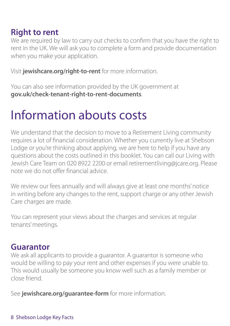#### **Right to rent**

We are required by law to carry out checks to confirm that you have the right to rent in the UK. We will ask you to complete a form and provide documentation when you make your application.

Visit **jewishcare.org/right-to-rent** for more information.

You can also see information provided by the UK government at **gov.uk/check-tenant-right-to-rent-documents**.

### Information abouts costs

We understand that the decision to move to a Retirement Living community requires a lot of financial consideration. Whether you currently live at Shebson Lodge or you're thinking about applying, we are here to help if you have any questions about the costs outlined in this booklet. You can call our Living with Jewish Care Team on 020 8922 2200 or email retirementliving@jcare.org. Please note we do not offer financial advice.

We review our fees annually and will always give at least one months' notice in writing before any changes to the rent, support charge or any other Jewish Care charges are made.

You can represent your views about the charges and services at regular tenants' meetings.

#### **Guarantor**

We ask all applicants to provide a guarantor. A guarantor is someone who would be willing to pay your rent and other expenses if you were unable to. This would usually be someone you know well such as a family member or close friend.

See **jewishcare.org/guarantee-form** for more information.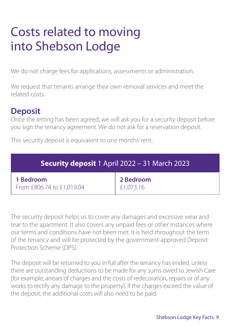### Costs related to moving into Shebson Lodge

We do not charge fees for applications, assessments or administration.

We request that tenants arrange their own removal services and meet the related costs.

#### **Deposit**

Once the letting has been agreed, we will ask you for a security deposit before you sign the tenancy agreement. We do not ask for a reservation deposit.

This security deposit is equivalent to one months' rent.

| <b>Security deposit</b> 1 April 2022 - 31 March 2023 |                               |  |  |
|------------------------------------------------------|-------------------------------|--|--|
| 1 Bedroom<br>From £806.74 to £1,019.04               | <b>2 Bedroom</b><br>£1,073.16 |  |  |

The security deposit helps us to cover any damages and excessive wear and tear to the apartment. It also covers any unpaid fees or other instances where our terms and conditions have not been met. It is held throughout the term of the tenancy and will be protected by the government-approved Deposit Protection Scheme (DPS).

The deposit will be returned to you in full after the tenancy has ended, unless there are outstanding deductions to be made for any sums owed to Jewish Care (for example, arrears of charges and the costs of redecoration, repairs or of any works to rectify any damage to the property). If the charges exceed the value of the deposit, the additional costs will also need to be paid.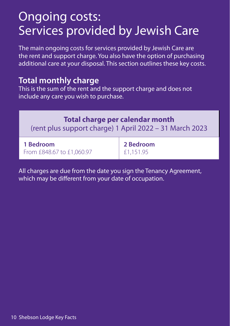### Ongoing costs: Services provided by Jewish Care

The main ongoing costs for services provided by Jewish Care are the rent and support charge. You also have the option of purchasing additional care at your disposal. This section outlines these key costs.

#### **Total monthly charge**

This is the sum of the rent and the support charge and does not include any care you wish to purchase.

#### **Total charge per calendar month**

(rent plus support charge) 1 April 2022 – 31 March 2023

| 1 Bedroom                 | 2 Bedroom   |
|---------------------------|-------------|
| From £848.67 to £1,060.97 | $£1,151.95$ |

All charges are due from the date you sign the Tenancy Agreement, which may be different from your date of occupation.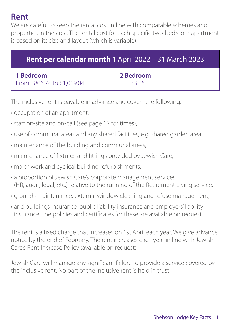#### **Rent**

We are careful to keep the rental cost in line with comparable schemes and properties in the area. The rental cost for each specific two-bedroom apartment is based on its size and layout (which is variable).

| <b>Rent per calendar month 1 April 2022 - 31 March 2023</b> |           |  |  |
|-------------------------------------------------------------|-----------|--|--|
| 1 Bedroom                                                   | 2 Bedroom |  |  |
| From £806.74 to £1,019.04                                   | £1,073.16 |  |  |

The inclusive rent is payable in advance and covers the following:

- occupation of an apartment,
- staff on-site and on-call (see page 12 for times),
- use of communal areas and any shared facilities, e.g. shared garden area,
- maintenance of the building and communal areas,
- maintenance of fixtures and fittings provided by Jewish Care,
- major work and cyclical building refurbishments,
- a proportion of Jewish Care's corporate management services (HR, audit, legal, etc.) relative to the running of the Retirement Living service,
- grounds maintenance, external window cleaning and refuse management,
- and buildings insurance, public liability insurance and employers' liability insurance. The policies and certificates for these are available on request.

The rent is a fixed charge that increases on 1st April each year. We give advance notice by the end of February. The rent increases each year in line with Jewish Care's Rent Increase Policy (available on request).

Jewish Care will manage any significant failure to provide a service covered by the inclusive rent. No part of the inclusive rent is held in trust.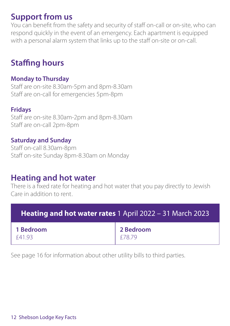#### **Support from us**

You can benefit from the safety and security of staff on-call or on-site, who can respond quickly in the event of an emergency. Each apartment is equipped with a personal alarm system that links up to the staff on-site or on-call.

#### **Staffing hours**

#### **Monday to Thursday**

Staff are on-site 8.30am-5pm and 8pm-8.30am Staff are on-call for emergencies 5pm-8pm

#### **Fridays**

Staff are on-site 8.30am-2pm and 8pm-8.30am Staff are on-call 2pm-8pm

#### **Saturday and Sunday**

Staff on-call 8.30am-8pm Staff on-site Sunday 8pm-8.30am on Monday

#### **Heating and hot water**

There is a fixed rate for heating and hot water that you pay directly to Jewish Care in addition to rent.

| Heating and hot water rates 1 April 2022 - 31 March 2023 |                                                                                        |  |  |
|----------------------------------------------------------|----------------------------------------------------------------------------------------|--|--|
| 1 Bedroom<br>£41.93                                      | $\begin{array}{ c c }\n\hline\n2\text{ Bedroom} \\ \text{£78.79}\n\hline\n\end{array}$ |  |  |

See page 16 for information about other utility bills to third parties.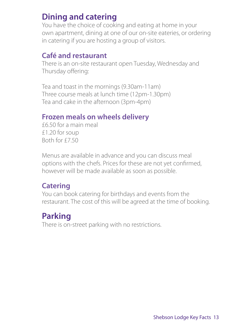#### **Dining and catering**

You have the choice of cooking and eating at home in your own apartment, dining at one of our on-site eateries, or ordering in catering if you are hosting a group of visitors.

#### **Café and restaurant**

There is an on-site restaurant open Tuesday, Wednesday and Thursday offering:

Tea and toast in the mornings (9.30am-11am) Three course meals at lunch time (12pm-1.30pm) Tea and cake in the afternoon (3pm-4pm)

#### **Frozen meals on wheels delivery**

£6.50 for a main meal £1.20 for soup Both for £7.50

Menus are available in advance and you can discuss meal options with the chefs. Prices for these are not yet confirmed, however will be made available as soon as possible.

#### **Catering**

You can book catering for birthdays and events from the restaurant. The cost of this will be agreed at the time of booking.

#### **Parking**

There is on-street parking with no restrictions.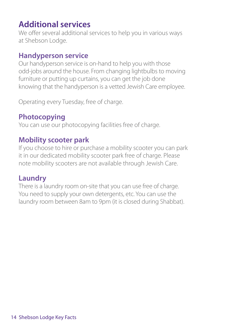#### **Additional services**

We offer several additional services to help you in various ways at Shebson Lodge.

#### **Handyperson service**

Our handyperson service is on-hand to help you with those odd-jobs around the house. From changing lightbulbs to moving furniture or putting up curtains, you can get the job done knowing that the handyperson is a vetted Jewish Care employee.

Operating every Tuesday, free of charge.

#### **Photocopying**

You can use our photocopying facilities free of charge.

#### **Mobility scooter park**

If you choose to hire or purchase a mobility scooter you can park it in our dedicated mobility scooter park free of charge. Please note mobility scooters are not available through Jewish Care.

#### **Laundry**

There is a laundry room on-site that you can use free of charge. You need to supply your own detergents, etc. You can use the laundry room between 8am to 9pm (it is closed during Shabbat).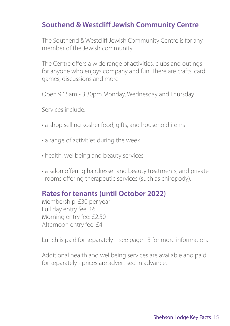#### **Southend & Westcliff Jewish Community Centre**

The Southend & Westcliff Jewish Community Centre is for any member of the Jewish community.

The Centre offers a wide range of activities, clubs and outings for anyone who enjoys company and fun. There are crafts, card games, discussions and more.

Open 9.15am - 3.30pm Monday, Wednesday and Thursday

Services include:

- a shop selling kosher food, gifts, and household items
- a range of activities during the week
- health, wellbeing and beauty services
- a salon offering hairdresser and beauty treatments, and private rooms offering therapeutic services (such as chiropody).

#### **Rates for tenants (until October 2022)**

Membership: £30 per year Full day entry fee: £6 Morning entry fee: £2.50 Afternoon entry fee: £4

Lunch is paid for separately – see page 13 for more information.

Additional health and wellbeing services are available and paid for separately - prices are advertised in advance.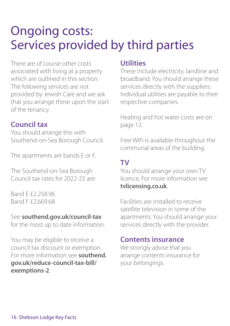### Ongoing costs: Services provided by third parties

There are of course other costs associated with living at a property which are outlined in this section. The following services are not provided by Jewish Care and we ask that you arrange these upon the start of the tenancy.

#### **Council tax**

You should arrange this with Southend-on-Sea Borough Council.

The apartments are bands E or F.

The Southend-on-Sea Borough Council tax rates for 2022-23 are:

Band E £2,258.96 Band F £2,669.68

#### See **southend.gov.uk/council-tax**

for the most up to date information.

You may be eligible to receive a council tax discount or exemption. For more information see **southend. gov.uk/reduce-council-tax-bill/ exemptions-2**.

#### **Utilities**

These include electricity, landline and broadband. You should arrange these services directly with the suppliers. Individual utilities are payable to their respective companies.

Heating and hot water costs are on page 12.

Free WiFi is available throughout the communal areas of the building.

#### **TV**

You should arrange your own TV licence. For more information see **tvlicensing.co.uk**.

Facilities are installed to receive satellite television in some of the apartments. You should arrange your services directly with the provider.

#### **Contents insurance**

We strongly advise that you arrange contents insurance for your belongings.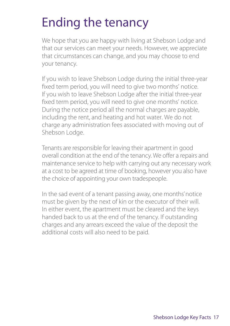### Ending the tenancy

We hope that you are happy with living at Shebson Lodge and that our services can meet your needs. However, we appreciate that circumstances can change, and you may choose to end your tenancy.

If you wish to leave Shebson Lodge during the initial three-year fixed term period, you will need to give two months' notice. If you wish to leave Shebson Lodge after the initial three-year fixed term period, you will need to give one months' notice. During the notice period all the normal charges are payable, including the rent, and heating and hot water. We do not charge any administration fees associated with moving out of Shebson Lodge.

Tenants are responsible for leaving their apartment in good overall condition at the end of the tenancy. We offer a repairs and maintenance service to help with carrying out any necessary work at a cost to be agreed at time of booking, however you also have the choice of appointing your own tradespeople.

In the sad event of a tenant passing away, one months' notice must be given by the next of kin or the executor of their will. In either event, the apartment must be cleared and the keys handed back to us at the end of the tenancy. If outstanding charges and any arrears exceed the value of the deposit the additional costs will also need to be paid.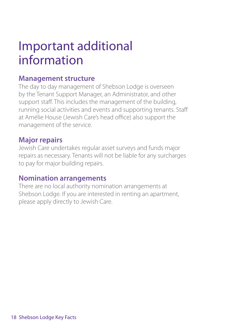### Important additional information

#### **Management structure**

The day to day management of Shebson Lodge is overseen by the Tenant Support Manager, an Administrator, and other support staff. This includes the management of the building, running social activities and events and supporting tenants. Staff at Amélie House (Jewish Care's head office) also support the management of the service.

#### **Major repairs**

Jewish Care undertakes regular asset surveys and funds major repairs as necessary. Tenants will not be liable for any surcharges to pay for major building repairs.

#### **Nomination arrangements**

There are no local authority nomination arrangements at Shebson Lodge. If you are interested in renting an apartment, please apply directly to Jewish Care.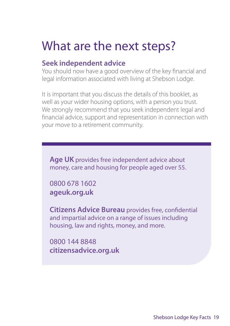### What are the next steps?

#### **Seek independent advice**

You should now have a good overview of the key financial and legal information associated with living at Shebson Lodge.

It is important that you discuss the details of this booklet, as well as your wider housing options, with a person you trust. We strongly recommend that you seek independent legal and financial advice, support and representation in connection with your move to a retirement community.

**Age UK** provides free independent advice about money, care and housing for people aged over 55.

0800 678 1602 **ageuk.org.uk**

**Citizens Advice Bureau** provides free, confidential and impartial advice on a range of issues including housing, law and rights, money, and more.

0800 144 8848 **citizensadvice.org.uk**